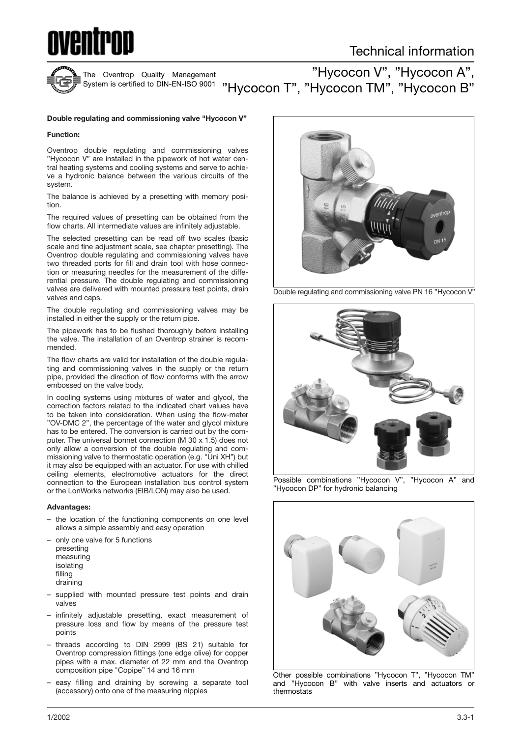



The Oventrop Quality Management

"Hycocon V", "Hycocon A", <sup>System is certified to DIN-EN-ISO 9001  $\,$  "Hycocon T", "Hycocon TM", "Hycocon B"  $\,$ </sup>

#### **Double regulating and commissioning valve "Hycocon V"**

#### **Function:**

Oventrop double regulating and commissioning valves "Hycocon V" are installed in the pipework of hot water central heating systems and cooling systems and serve to achieve a hydronic balance between the various circuits of the system.

The balance is achieved by a presetting with memory position.

The required values of presetting can be obtained from the flow charts. All intermediate values are infinitely adjustable.

The selected presetting can be read off two scales (basic scale and fine adjustment scale, see chapter presetting). The Oventrop double regulating and commissioning valves have two threaded ports for fill and drain tool with hose connection or measuring needles for the measurement of the differential pressure. The double regulating and commissioning valves are delivered with mounted pressure test points, drain valves and caps.

The double regulating and commissioning valves may be installed in either the supply or the return pipe.

The pipework has to be flushed thoroughly before installing the valve. The installation of an Oventrop strainer is recommended.

The flow charts are valid for installation of the double regulating and commissioning valves in the supply or the return pipe, provided the direction of flow conforms with the arrow embossed on the valve body.

In cooling systems using mixtures of water and glycol, the correction factors related to the indicated chart values have to be taken into consideration. When using the flow-meter "OV-DMC 2", the percentage of the water and glycol mixture has to be entered. The conversion is carried out by the computer. The universal bonnet connection (M 30 x 1.5) does not only allow a conversion of the double regulating and commissioning valve to thermostatic operation (e.g. "Uni XH") but it may also be equipped with an actuator. For use with chilled ceiling elements, electromotive actuators for the direct connection to the European installation bus control system or the LonWorks networks (EIB/LON) may also be used.

#### **Advantages:**

- the location of the functioning components on one level allows a simple assembly and easy operation
- only one valve for 5 functions

presetting measuring isolating filling

draining

- supplied with mounted pressure test points and drain valves
- infinitely adjustable presetting, exact measurement of pressure loss and flow by means of the pressure test points
- threads according to DIN 2999 (BS 21) suitable for Oventrop compression fittings (one edge olive) for copper pipes with a max. diameter of 22 mm and the Oventrop composition pipe "Copipe" 14 and 16 mm
- easy filling and draining by screwing a separate tool (accessory) onto one of the measuring nipples



Double regulating and commissioning valve PN 16 "Hycocon V"



Possible combinations "Hycocon V", "Hycocon A" and "Hycocon DP" for hydronic balancing



Other possible combinations "Hycocon T", "Hycocon TM" and "Hycocon B" with valve inserts and actuators or thermostats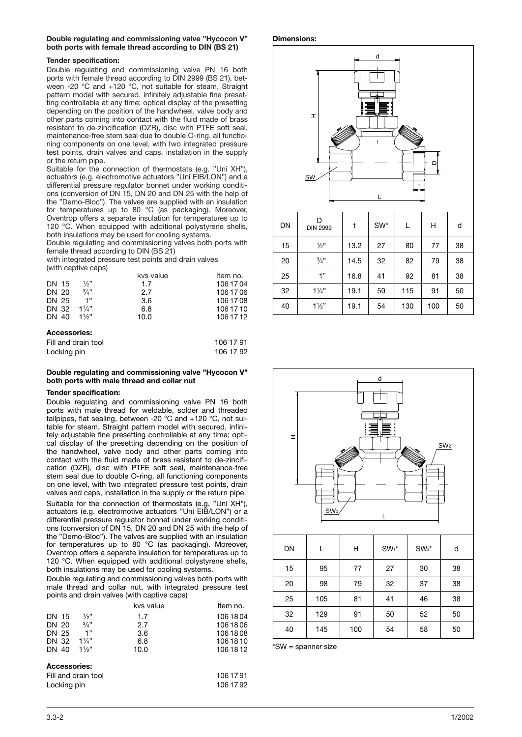#### **Double regulating and commissioning valve "Hycocon V" both ports with female thread according to DIN (BS 21)**

#### **Tender specification:**

Double regulating and commissioning valve PN 16 both ports with female thread according to DIN 2999 (BS 21), between -20 °C and +120 °C, not suitable for steam. Straight pattern model with secured, infinitely adjustable fine presetting controllable at any time; optical display of the presetting depending on the position of the handwheel, valve body and other parts coming into contact with the fluid made of brass resistant to de-zincification (DZR), disc with PTFE soft seal, maintenance-free stem seal due to double O-ring, all functioning components on one level, with two integrated pressure test points, drain valves and caps, installation in the supply or the return pipe.

Suitable for the connection of thermostats (e.g. "Uni XH"), actuators (e.g. electromotive actuators "Uni EIB/LON") and a differential pressure regulator bonnet under working conditions (conversion of DN 15, DN 20 and DN 25 with the help of the "Demo-Bloc"). The valves are supplied with an insulation for temperatures up to 80 °C (as packaging). Moreover, Oventrop offers a separate insulation for temperatures up to 120 °C. When equipped with additional polystyrene shells, both insulations may be used for cooling systems.

Double regulating and commissioning valves both ports with female thread according to DIN (BS 21)

with integrated pressure test points and drain valves

|  | (with captive caps) |  |
|--|---------------------|--|
|  |                     |  |

| DN 15<br>DN 20<br>DN 25<br>DN 32                    | $\frac{1}{2}$ "<br>3/4"<br>1"<br>$1\frac{1}{4}$ | kvs value<br>1.7<br>2.7<br>3.6<br>6.8 | Item no.<br>106 17 04<br>106 17 06<br>106 17 08<br>106 17 10 |
|-----------------------------------------------------|-------------------------------------------------|---------------------------------------|--------------------------------------------------------------|
| DN 40<br><b>Accessories:</b><br>Fill and drain tool | $1\frac{1}{2}$                                  | 10.0                                  | 106 17 12<br>106 17 91                                       |

# Locking pin 106 17 92

#### **Double regulating and commissioning valve "Hycocon V" both ports with male thread and collar nut**

## **Tender specification:**

Double regulating and commissioning valve PN 16 both ports with male thread for weldable, solder and threaded tailpipes, flat sealing, between -20 °C and +120 °C, not suitable for steam. Straight pattern model with secured, infinitely adjustable fine presetting controllable at any time; optical display of the presetting depending on the position of the handwheel, valve body and other parts coming into contact with the fluid made of brass resistant to de-zincification (DZR), disc with PTFE soft seal, maintenance-free stem seal due to double O-ring, all functioning components on one level, with two integrated pressure test points, drain valves and caps, installation in the supply or the return pipe.

Suitable for the connection of thermostats (e.g. "Uni XH"), actuators (e.g. electromotive actuators "Uni EIB/LON") or a differential pressure regulator bonnet under working conditions (conversion of DN 15, DN 20 and DN 25 with the help of the "Demo-Bloc"). The valves are supplied with an insulation for temperatures up to 80 °C (as packaging). Moreover, Oventrop offers a separate insulation for temperatures up to 120 °C. When equipped with additional polystyrene shells, both insulations may be used for cooling systems.

Double regulating and commissioning valves both ports with male thread and collar nut, with integrated pressure test points and drain valves (with captive caps)

|                        |                     | kvs value | Item no.  |
|------------------------|---------------------|-----------|-----------|
| DN 15                  | $\frac{1}{2}$       | 1.7       | 1061804   |
| DN 20                  | 3/4"                | 2.7       | 1061806   |
| DN 25                  | 1"                  | 3.6       | 1061808   |
| DN 32 $1\frac{1}{4}$ " |                     | 6.8       | 1061810   |
| DN 40                  | $1\frac{1}{2}$      | 10.0      | 106 18 12 |
| <b>Accessories:</b>    |                     |           |           |
|                        | Fill and drain tool |           | 1061791   |

| Fill and drain tool | 1061791 |
|---------------------|---------|
| Locking pin         | 1061792 |

#### **Dimensions:**



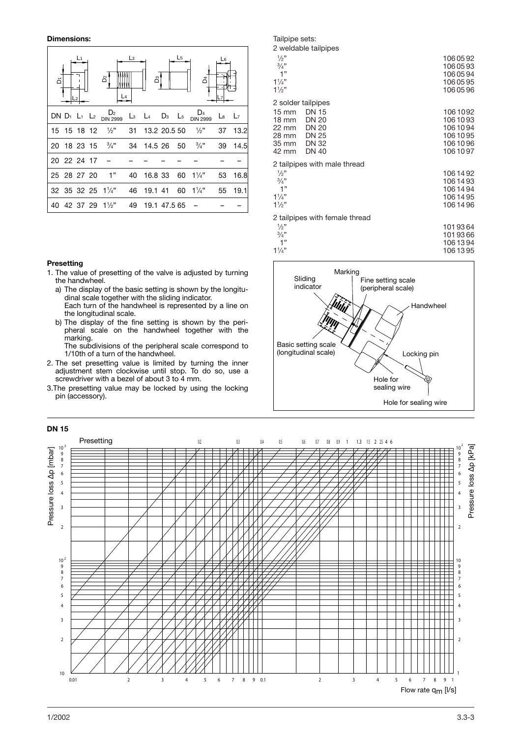**Dimensions:**



#### **Presetting**

- 1. The value of presetting of the valve is adjusted by turning the handwheel.
	- a) The display of the basic setting is shown by the longitudinal scale together with the sliding indicator. Each turn of the handwheel is represented by a line on the longitudinal scale.
	- b) The display of the fine setting is shown by the peripheral scale on the handwheel together with the marking. The subdivisions of the peripheral scale correspond to

1/10th of a turn of the handwheel.

- 2. The set presetting value is limited by turning the inner adjustment stem clockwise until stop. To do so, use a screwdriver with a bezel of about 3 to 4 mm.
- 3.The presetting value may be locked by using the locking pin (accessory).

#### Tailpipe sets: 2 weldable tailpipes  $1/2$ " ⁄2" 106 05 92  $\frac{3}{4}$ "  $\frac{3}{4}$ " 106 05 93<br>1 " 106 05 94 106 05 94  $1\frac{1}{4}$ ⁄4" 106 05 95  $1\frac{1}{2}$ ⁄2" 106 05 96 2 solder tailpipes 15 mm DN 15 106 1092<br>18 mm DN 20 106 1093 18 mm DN 20 106 10 93<br>22 mm DN 20 106 10 94 106 10 94<br>106 10 95<br>106 10 95 28 mm DN 25<br>35 mm DN 32 106 10 96 10 106 10 106 10 106 10 106 10 106 10 106 10 106 10 106 10 106 10 10 10 10 10 10 10 10 10 10 10 10 1<br>106 10 97 106 10 97 2 tailpipes with male thread  $1/2"$ ⁄2" 106 14 92  $3/4$ " <sup>}/4"</sup> 106 14 93<br>1" 106 14 94 106 14 94  $11/4$ " ⁄4" 106 14 95  $11/2$ ⁄2" 106 14 96 2 tailpipes with female thread  $\frac{1}{2}$ " ⁄2" 101 93 64  $\frac{3}{4}$ "  $\frac{3}{4}$ " 101 93 66<br>1" 106 13 94 106 13 94





1/2002 3.3-3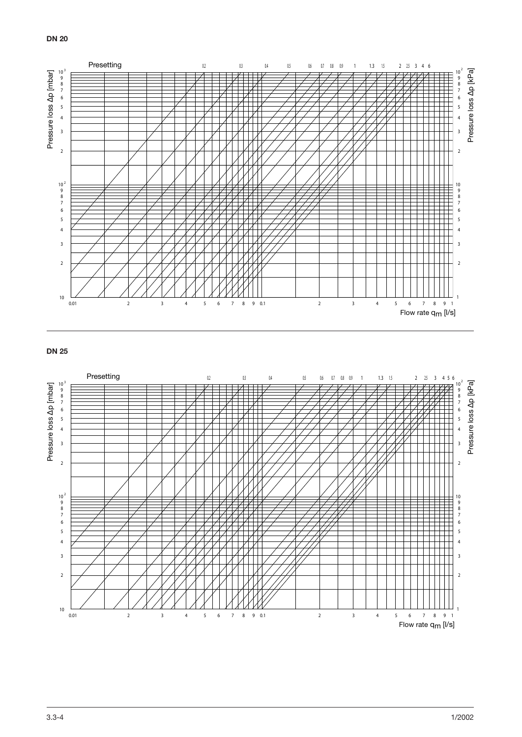

## **DN 25**

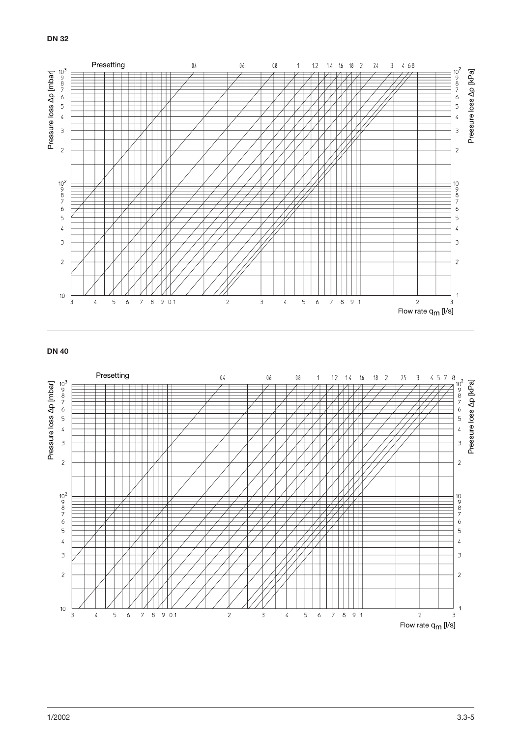

## **DN 40**

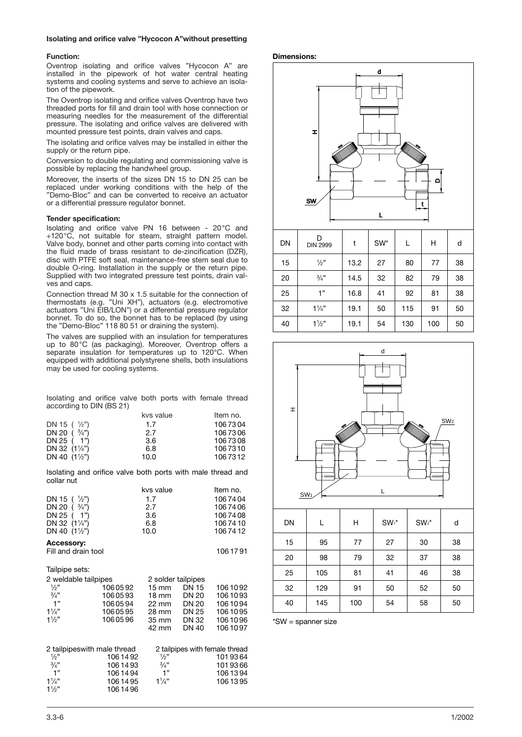#### **Isolating and orifice valve "Hycocon A"without presetting**

#### **Function:**

Oventrop isolating and orifice valves "Hycocon A" are installed in the pipework of hot water central heating systems and cooling systems and serve to achieve an isolation of the pipework.

The Oventrop isolating and orifice valves Oventrop have two threaded ports for fill and drain tool with hose connection or measuring needles for the measurement of the differential pressure. The isolating and orifice valves are delivered with mounted pressure test points, drain valves and caps.

The isolating and orifice valves may be installed in either the supply or the return pipe.

Conversion to double regulating and commissioning valve is possible by replacing the handwheel group.

Moreover, the inserts of the sizes DN 15 to DN 25 can be replaced under working conditions with the help of the "Demo-Bloc" and can be converted to receive an actuator or a differential pressure regulator bonnet.

#### **Tender specification:**

Isolating and orifice valve PN 16 between - 20°C and +120°C, not suitable for steam, straight pattern model. Valve body, bonnet and other parts coming into contact with the fluid made of brass resistant to de-zincification (DZR), disc with PTFE soft seal, maintenance-free stem seal due to double O-ring. Installation in the supply or the return pipe. Supplied with two integrated pressure test points, drain valves and caps.

Connection thread M 30 x 1.5 suitable for the connection of thermostats (e.g. "Uni XH"), actuators (e.g. electromotive actuators "Uni EIB/LON") or a differential pressure regulator bonnet. To do so, the bonnet has to be replaced (by using the "Demo-Bloc" 118 80 51 or draining the system).

The valves are supplied with an insulation for temperatures up to 80°C (as packaging). Moreover, Oventrop offers a separate insulation for temperatures up to 120°C. When equipped with additional polystyrene shells, both insulations may be used for cooling systems.

Isolating and orifice valve both ports with female thread according to DIN (BS 21)

|                        | kvs value | Item no. |
|------------------------|-----------|----------|
| DN 15 $(\frac{1}{2})$  | 1.7       | 1067304  |
| DN 20 $(3/4)$          | 2.7       | 1067306  |
| DN 25 ( 1")            | 3.6       | 1067308  |
| DN 32 $(1\frac{1}{4})$ | 6.8       | 1067310  |
| DN 40 $(1\frac{1}{2})$ | 10.0      | 1067312  |

Isolating and orifice valve both ports with male thread and collar nut

| DN 15 $(y_2")$<br>$\frac{3}{4}$ ")<br>DN 20 (<br>DN 25 ( 1")<br>DN 32 $(1\frac{1}{4})$<br>DN 40 $(1\frac{1}{2})$ |                    | kvs value<br>1.7<br>2.7<br>3.6<br>6.8<br>10.0 |                | ltem no.<br>1067404<br>1067406<br>1067408<br>1067410<br>1067412 |
|------------------------------------------------------------------------------------------------------------------|--------------------|-----------------------------------------------|----------------|-----------------------------------------------------------------|
| <b>Accessory:</b><br>Fill and drain tool                                                                         |                    |                                               |                | 1061791                                                         |
| Tailpipe sets:                                                                                                   |                    |                                               |                |                                                                 |
| 2 weldable tailpipes                                                                                             |                    | 2 solder tailpipes                            |                |                                                                 |
| $\frac{1}{2}$                                                                                                    | 1060592            | $15 \text{ mm}$                               | DN 15          | 1061092                                                         |
| $\frac{3}{4}$ "                                                                                                  | 1060593            | $18 \text{ mm}$                               | DN 20          | 1061093                                                         |
| 1"                                                                                                               | 1060594            | 22 mm                                         | DN 20          | 1061094                                                         |
| $1\frac{1}{4}$<br>$1\frac{1}{2}$                                                                                 | 1060595<br>1060596 | 28 mm                                         | DN 25<br>DN 32 | 1061095<br>1061096                                              |
|                                                                                                                  |                    | 35 mm<br>42 mm                                | <b>DN 40</b>   | 1061097                                                         |
| 2 tailpipeswith male thread                                                                                      |                    |                                               |                | 2 tailpipes with female thread                                  |
| $\frac{1}{2}$ "                                                                                                  | 1061492            | $\frac{1}{2}$                                 |                | 1019364                                                         |
| 3/4"<br>1"                                                                                                       | 1061493            | $\frac{3}{4}$ "                               |                | 1019366                                                         |
| $1\frac{1}{4}$                                                                                                   | 1061494<br>1061495 | 1"<br>$1\frac{1}{4}$                          |                | 1061394<br>1061395                                              |
| $1\frac{1}{2}$                                                                                                   | 1061496            |                                               |                |                                                                 |
|                                                                                                                  |                    |                                               |                |                                                                 |

#### **Dimensions:**





| 15 | 95  | 77  | 27 | 30 | 38 |
|----|-----|-----|----|----|----|
| 20 | 98  | 79  | 32 | 37 | 38 |
| 25 | 105 | 81  | 41 | 46 | 38 |
| 32 | 129 | 91  | 50 | 52 | 50 |
| 40 | 145 | 100 | 54 | 58 | 50 |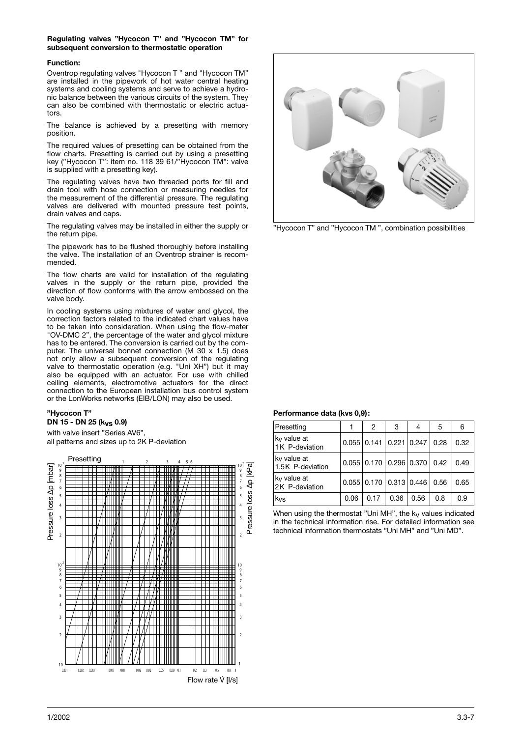#### **Regulating valves "Hycocon T" and "Hycocon TM" for subsequent conversion to thermostatic operation**

### **Function:**

Oventrop regulating valves "Hycocon T " and "Hycocon TM" are installed in the pipework of hot water central heating systems and cooling systems and serve to achieve a hydronic balance between the various circuits of the system. They can also be combined with thermostatic or electric actuators.

The balance is achieved by a presetting with memory position.

The required values of presetting can be obtained from the flow charts. Presetting is carried out by using a presetting key ("Hycocon T": item no. 118 39 61/"Hycocon TM": valve is supplied with a presetting key).

The regulating valves have two threaded ports for fill and drain tool with hose connection or measuring needles for the measurement of the differential pressure. The regulating valves are delivered with mounted pressure test points, drain valves and caps.

The regulating valves may be installed in either the supply or the return pipe.

The pipework has to be flushed thoroughly before installing the valve. The installation of an Oventrop strainer is recommended.

The flow charts are valid for installation of the regulating valves in the supply or the return pipe, provided the direction of flow conforms with the arrow embossed on the valve body.

In cooling systems using mixtures of water and glycol, the correction factors related to the indicated chart values have to be taken into consideration. When using the flow-meter "OV-DMC 2", the percentage of the water and glycol mixture has to be entered. The conversion is carried out by the computer. The universal bonnet connection (M 30  $\times$  1.5) does not only allow a subsequent conversion of the regulating valve to thermostatic operation (e.g. "Uni XH") but it may also be equipped with an actuator. For use with chilled ceiling elements, electromotive actuators for the direct connection to the European installation bus control system or the LonWorks networks (EIB/LON) may also be used.

#### **"Hycocon T" DN 15 - DN 25 (kvs 0.9)**

with valve insert "Series AV6", all patterns and sizes up to 2K P-deviation





"Hycocon T" and "Hycocon TM ", combination possibilities

## **Performance data (kvs 0,9):**

| Presetting                                |      | 2                               | 3    | 4    | 5    | 6    |
|-------------------------------------------|------|---------------------------------|------|------|------|------|
| k <sub>v</sub> value at<br>1K P-deviation |      | $0.055$   0.141   0.221   0.247 |      |      | 0.28 | 0.32 |
| kv value at<br>1.5K P-deviation           |      | $0.055$   0.170   0.296   0.370 |      |      | 0.42 | 0.49 |
| kv value at<br>2K P-deviation             |      | $0.055$   0.170   0.313   0.446 |      |      | 0.56 | 0.65 |
| kvs                                       | 0.06 | 0.17                            | 0.36 | 0.56 | 0.8  | 0.9  |

When using the thermostat "Uni MH", the  $k_V$  values indicated in the technical information rise. For detailed information see technical information thermostats "Uni MH" and "Uni MD".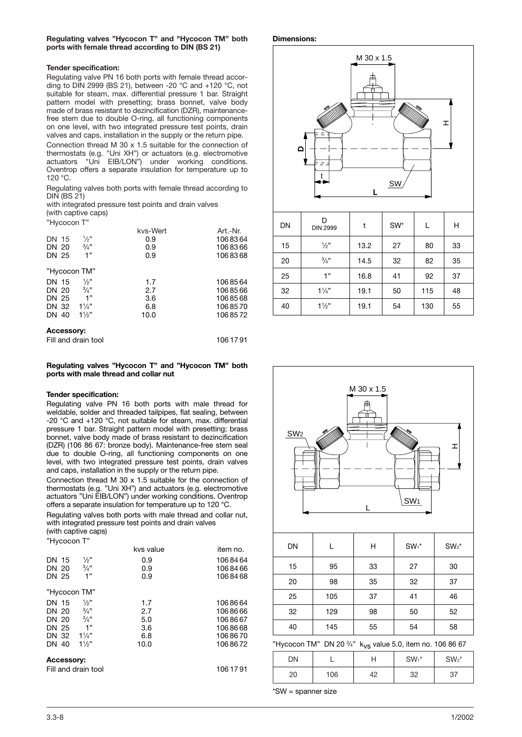#### **Tender specification:**

Regulating valve PN 16 both ports with female thread according to DIN 2999 (BS 21), between -20  $^{\circ}$ C and +120  $^{\circ}$ C, not suitable for steam, max. differential pressure 1 bar. Straight pattern model with presetting; brass bonnet, valve body made of brass resistant to dezincification (DZR), maintenancefree stem due to double O-ring, all functioning components on one level, with two integrated pressure test points, drain valves and caps, installation in the supply or the return pipe.

Connection thread M 30 x 1.5 suitable for the connection of thermostats (e.g. "Uni XH") or actuators (e.g. electromotive actuators "Uni EIB/LON") under working conditions. Oventrop offers a separate insulation for temperature up to 120 °C.

Regulating valves both ports with female thread according to DIN (BS 21)

with integrated pressure test points and drain valves (with captive caps)

"Hycocon T"

|                   |                 | kvs-Wert | Art.-Nr. |
|-------------------|-----------------|----------|----------|
| DN 15             | $\frac{1}{2}$ " | 0.9      | 1068364  |
| DN 20             | $\frac{3}{4}$ " | 0.9      | 1068366  |
| DN 25             | 1"              | 0.9      | 1068368  |
| "Hycocon TM"      |                 |          |          |
| DN 15             | $\frac{1}{2}$   | 1.7      | 1068564  |
| DN 20             | 3/4"            | 2.7      | 1068566  |
| DN 25             | 1"              | 3.6      | 1068568  |
| DN 32             | $1\frac{1}{4}$  | 6.8      | 1068570  |
| DN 40             | $1\frac{1}{2}$  | 10.0     | 1068572  |
| <b>Accessory:</b> |                 |          |          |

| Fill and drain tool | 106 17 91 |
|---------------------|-----------|
|---------------------|-----------|

#### **Regulating valves "Hycocon T" and "Hycocon TM" both ports with male thread and collar nut**

#### **Tender specification:**

Regulating valve PN 16 both ports with male thread for weldable, solder and threaded tailpipes, flat sealing, between -20 °C and +120 °C, not suitable for steam, max. differential pressure 1 bar. Straight pattern model with presetting; brass bonnet, valve body made of brass resistant to dezincification (DZR) (106 86 67: bronze body). Maintenance-free stem seal due to double O-ring, all functioning components on one level, with two integrated pressure test points, drain valves and caps, installation in the supply or the return pipe.

Connection thread M 30 x 1.5 suitable for the connection of thermostats (e.g. "Uni XH") and actuators (e.g. electromotive actuators "Uni EIB/LON") under working conditions. Oventrop offers a separate insulation for temperature up to 120 °C.

Regulating valves both ports with male thread and collar nut, with integrated pressure test points and drain valves (with captive caps)

| "Hycocon T"       |                     |           |           |
|-------------------|---------------------|-----------|-----------|
|                   |                     | kvs value | item no.  |
| DN 15             | $\frac{1}{2}$       | 0.9       | 1068464   |
| DN 20             | $\frac{3}{4}$ "     | 0.9       | 1068466   |
| DN 25             | 1"                  | 0.9       | 1068468   |
|                   | "Hycocon TM"        |           |           |
| DN 15             | $\frac{1}{2}$       | 1.7       | 1068664   |
| DN 20             | $\frac{3}{4}$ "     | 2.7       | 1068666   |
| DN 20             | 3/4"                | 5.0       | 1068667   |
| DN 25             | 1"                  | 3.6       | 1068668   |
| DN 32             | $1\frac{1}{4}$      | 6.8       | 1068670   |
| DN 40             | $1\frac{1}{2}$      | 10.0      | 1068672   |
| <b>Accessory:</b> |                     |           |           |
|                   | Fill and drain tool |           | 106 17 91 |





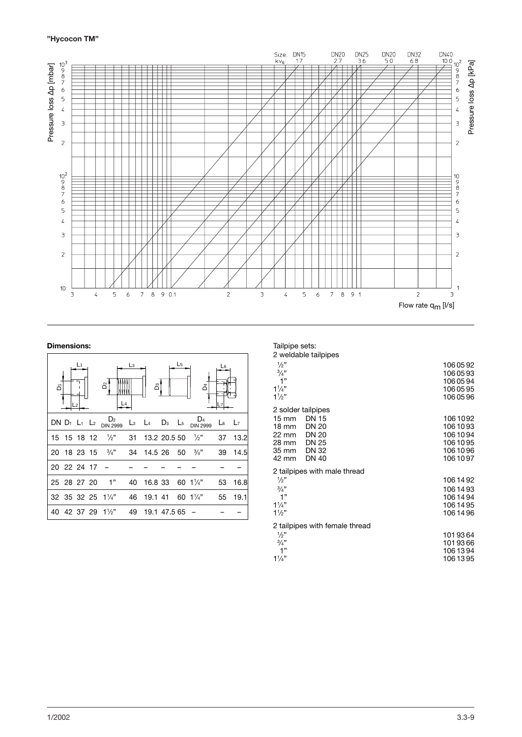## **"Hycocon TM"**



## **Dimensions:**

| ه           | L1 | δ                                                                    | Lз | ő                             |              | L <sub>5</sub> | ð                                                                                      | L6          |         |
|-------------|----|----------------------------------------------------------------------|----|-------------------------------|--------------|----------------|----------------------------------------------------------------------------------------|-------------|---------|
|             |    | DN D <sub>1</sub> L <sub>1</sub> L <sub>2</sub> D <sub>IN 2999</sub> |    |                               |              |                | D4<br>L <sub>3</sub> L <sub>4</sub> D <sub>3</sub> L <sub>5</sub> D <sub>1N</sub> 2999 | $L_6$ $L_7$ |         |
|             |    | 15 15 18 12 1/2"                                                     |    | 31 13.2 20.5 50 $\frac{1}{2}$ |              |                |                                                                                        |             | 37 13.2 |
|             |    | 20 18 23 15 $\frac{3}{4}$ "                                          |    | 34 14.5 26 50 $\frac{3}{4}$ " |              |                |                                                                                        |             | 39 14.5 |
| 20 22 24 17 |    |                                                                      |    |                               |              |                |                                                                                        |             |         |
| 25 28 27 20 |    | $\sim$ 1"                                                            | 40 | 16.8 33 60 1 $\frac{1}{4}$ "  |              |                |                                                                                        | 53          | 16.8    |
|             |    | 32 35 32 25 11/4" 46 19.1 41 60 11/4"                                |    |                               |              |                |                                                                                        | 55          | 19.1    |
|             |    | 40 42 37 29 11/2"                                                    | 49 |                               | 19.1 47.5 65 |                |                                                                                        |             |         |

| Tailpipe sets: |  |  |
|----------------|--|--|
|                |  |  |

2 weldable tailpipes

| L WORGON RUIPIPOS                                                                                                                    |                                                                          |
|--------------------------------------------------------------------------------------------------------------------------------------|--------------------------------------------------------------------------|
| $\frac{1}{2}$ "<br>3/4"<br>1"<br>$1\frac{1}{4}$<br>$1\frac{1}{2}$                                                                    | 1060592<br>1060593<br>1060594<br>1060595<br>1060596                      |
| 2 solder tailpipes                                                                                                                   |                                                                          |
| <b>DN 15</b><br>15 mm<br>18 mm<br><b>DN 20</b><br><b>DN 20</b><br>22 mm<br><b>DN 25</b><br>28 mm<br>DN 32<br>35 mm<br>DN 40<br>42 mm | 1061092<br>106 10 93<br>106 10 94<br>106 10 95<br>106 10 96<br>106 10 97 |
| 2 tailpipes with male thread                                                                                                         |                                                                          |
| $\frac{1}{2}$<br>3/4"<br>1"<br>$1\frac{1}{4}$<br>$1\frac{1}{2}$                                                                      | 106 14 92<br>106 14 93<br>106 14 94<br>106 14 95<br>106 14 96            |
| 2 tailpipes with female thread                                                                                                       |                                                                          |
| $\frac{1}{2}$<br>$\frac{3}{4}$ "<br>1"<br>$1\frac{1}{4}$                                                                             | 1019364<br>1019366<br>1061394<br>106 13 95                               |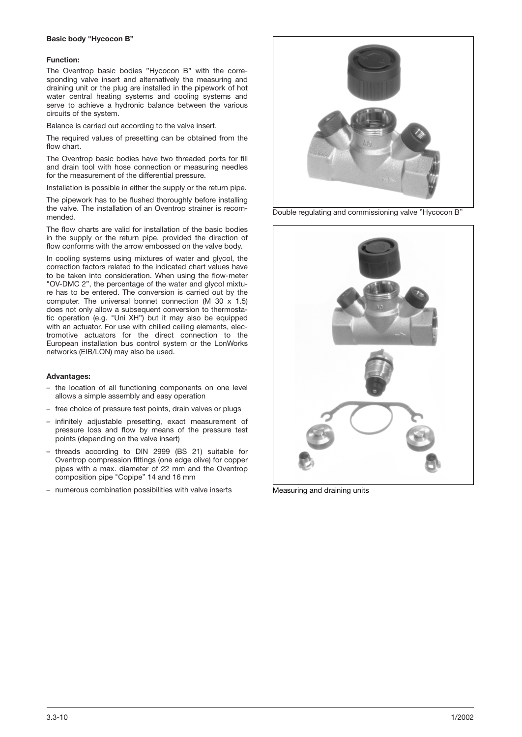#### **Basic body "Hycocon B"**

#### **Function:**

The Oventrop basic bodies "Hycocon B" with the corresponding valve insert and alternatively the measuring and draining unit or the plug are installed in the pipework of hot water central heating systems and cooling systems and serve to achieve a hydronic balance between the various circuits of the system.

Balance is carried out according to the valve insert.

The required values of presetting can be obtained from the flow chart.

The Oventrop basic bodies have two threaded ports for fill and drain tool with hose connection or measuring needles for the measurement of the differential pressure.

Installation is possible in either the supply or the return pipe.

The pipework has to be flushed thoroughly before installing the valve. The installation of an Oventrop strainer is recommended.

The flow charts are valid for installation of the basic bodies in the supply or the return pipe, provided the direction of flow conforms with the arrow embossed on the valve body.

In cooling systems using mixtures of water and glycol, the correction factors related to the indicated chart values have to be taken into consideration. When using the flow-meter "OV-DMC 2", the percentage of the water and glycol mixture has to be entered. The conversion is carried out by the computer. The universal bonnet connection (M 30  $\times$  1.5) does not only allow a subsequent conversion to thermostatic operation (e.g. "Uni XH") but it may also be equipped with an actuator. For use with chilled ceiling elements, electromotive actuators for the direct connection to the European installation bus control system or the LonWorks networks (EIB/LON) may also be used.

#### **Advantages:**

- the location of all functioning components on one level allows a simple assembly and easy operation
- free choice of pressure test points, drain valves or plugs
- infinitely adjustable presetting, exact measurement of pressure loss and flow by means of the pressure test points (depending on the valve insert)
- threads according to DIN 2999 (BS 21) suitable for Oventrop compression fittings (one edge olive) for copper pipes with a max. diameter of 22 mm and the Oventrop composition pipe "Copipe" 14 and 16 mm
- numerous combination possibilities with valve inserts



Double regulating and commissioning valve "Hycocon B"



Measuring and draining units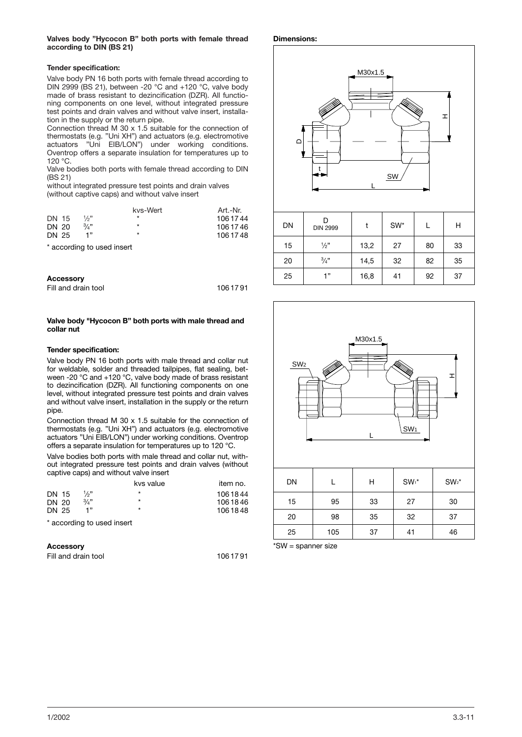#### **Valves body "Hycocon B" both ports with female thread according to DIN (BS 21)**

#### **Tender specification:**

Valve body PN 16 both ports with female thread according to DIN 2999 (BS 21), between -20 °C and +120 °C, valve body made of brass resistant to dezincification (DZR). All functioning components on one level, without integrated pressure test points and drain valves and without valve insert, installation in the supply or the return pipe.

Connection thread M 30 x 1.5 suitable for the connection of thermostats (e.g. "Uni XH") and actuators (e.g. electromotive actuators "Uni EIB/LON") under working conditions. Oventrop offers a separate insulation for temperatures up to  $120 °C$ 

Valve bodies both ports with female thread according to DIN (BS 21)

without integrated pressure test points and drain valves (without captive caps) and without valve insert

|       |      | kvs-Wert | Art.-Nr.  |
|-------|------|----------|-----------|
| DN 15 | 1/2" | $\star$  | 106 17 44 |
| DN 20 | 3/3  | $\star$  | 106 17 46 |
| DN 25 | 1"   | $\star$  | 106 17 48 |

\* according to used insert

| <b>Accessory</b>    |           |
|---------------------|-----------|
| Fill and drain tool | 106 17 91 |

#### **Valve body "Hycocon B" both ports with male thread and collar nut**

#### **Tender specification:**

Valve body PN 16 both ports with male thread and collar nut for weldable, solder and threaded tailpipes, flat sealing, between -20 °C and +120 °C, valve body made of brass resistant to dezincification (DZR). All functioning components on one level, without integrated pressure test points and drain valves and without valve insert, installation in the supply or the return pipe.

Connection thread M 30 x 1.5 suitable for the connection of thermostats (e.g. "Uni XH") and actuators (e.g. electromotive actuators "Uni EIB/LON") under working conditions. Oventrop offers a separate insulation for temperatures up to 120 °C.

Valve bodies both ports with male thread and collar nut, without integrated pressure test points and drain valves (without captive caps) and without valve insert

|       | kvs value   | item no. |
|-------|-------------|----------|
| DN 15 | *           | 1061844  |
| DN 20 | $\star$     | 1061846  |
| DN 25 | *           | 1061848  |
|       | 1/2"<br>3/3 |          |

\* according to used insert

| <b>Accessory</b>    |         |
|---------------------|---------|
| Fill and drain tool | 1061791 |

#### **Dimensions:**



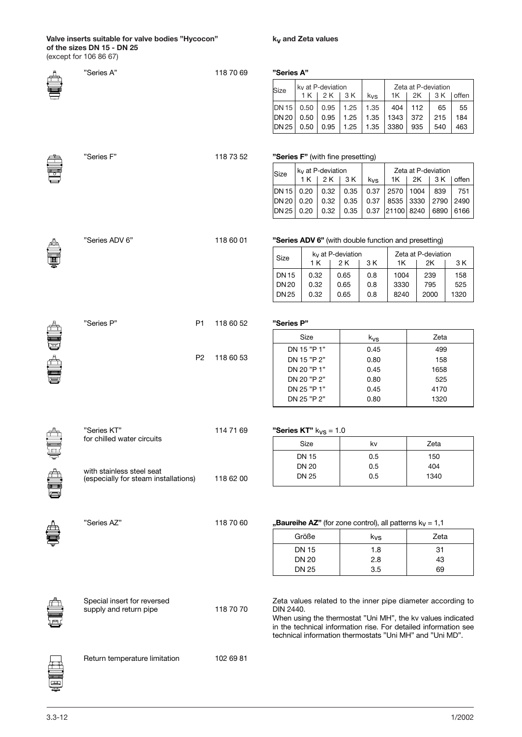#### **Valve inserts suitable for valve bodies "Hycocon" of the sizes DN 15 - DN 25** (except for 106 86 67)

**kv and Zeta values**

|    | "Series A"                                                        | 118 70 69                   | "Series A"                  |                              |                                   |              |                                                            |             |                     |             |                                                                                                                                                                                               |
|----|-------------------------------------------------------------------|-----------------------------|-----------------------------|------------------------------|-----------------------------------|--------------|------------------------------------------------------------|-------------|---------------------|-------------|-----------------------------------------------------------------------------------------------------------------------------------------------------------------------------------------------|
|    |                                                                   |                             | Size                        |                              | $kV$ at P-deviation               |              |                                                            |             | Zeta at P-deviation |             |                                                                                                                                                                                               |
|    |                                                                   |                             |                             | 1 K                          | 2 K                               | 3 K          | kvs                                                        | 1K          | 2K                  | 3 K         | offen                                                                                                                                                                                         |
|    |                                                                   |                             | <b>DN15</b><br><b>DN 20</b> | 0.50<br>0.50                 | 0.95<br>0.95                      | 1.25<br>1.25 | 1.35<br>1.35                                               | 404<br>1343 | 112<br>372          | 65<br>215   | 55<br>184                                                                                                                                                                                     |
|    |                                                                   |                             | DN 25                       | 0.50                         | 0.95                              | 1.25         | 1.35                                                       | 3380        | 935                 | 540         | 463                                                                                                                                                                                           |
|    | "Series F"                                                        | 118 73 52                   |                             |                              | "Series F" (with fine presetting) |              |                                                            |             |                     |             |                                                                                                                                                                                               |
|    |                                                                   |                             | Size                        |                              | ky at P-deviation                 |              |                                                            |             | Zeta at P-deviation |             |                                                                                                                                                                                               |
|    |                                                                   |                             | <b>DN15</b>                 | 1 K<br>0.20                  | 2 K<br>0.32                       | 3 K<br>0.35  | kvs<br>0.37                                                | 1K<br>2570  | 2K<br>1004          | 3 K<br>839  | offen<br>751                                                                                                                                                                                  |
|    |                                                                   |                             | <b>DN 20</b>                | 0.20                         | 0.32                              | 0.35         | 0.37                                                       | 8535        | 3330                | 2790        | 2490                                                                                                                                                                                          |
|    |                                                                   |                             | <b>DN 25</b>                | 0.20                         | 0.32                              | 0.35         | 0.37                                                       | 21100 8240  |                     | 6890        | 6166                                                                                                                                                                                          |
|    | "Series ADV 6"                                                    | 118 60 01                   |                             |                              |                                   |              | "Series ADV 6" (with double function and presetting)       |             |                     |             |                                                                                                                                                                                               |
|    |                                                                   |                             | Size                        |                              | k <sub>v</sub> at P-deviation     |              |                                                            |             | Zeta at P-deviation |             |                                                                                                                                                                                               |
|    |                                                                   |                             | <b>DN15</b>                 | 0.32                         | 1 K                               | 2 K<br>0.65  | 3 K<br>0.8                                                 | 1K<br>1004  |                     | 2K<br>239   | 3 K<br>158                                                                                                                                                                                    |
|    |                                                                   |                             | <b>DN20</b>                 | 0.32                         |                                   | 0.65         | 0.8                                                        | 3330        |                     | 795         | 525                                                                                                                                                                                           |
|    |                                                                   |                             | <b>DN25</b>                 | 0.32                         |                                   | 0.65         | 0.8                                                        | 8240        |                     | 2000        | 1320                                                                                                                                                                                          |
|    | "Series P"                                                        | <b>P1</b><br>118 60 52      | "Series P"                  |                              |                                   |              |                                                            |             |                     |             |                                                                                                                                                                                               |
| ê, |                                                                   |                             |                             | Size                         |                                   |              | $k_{VS}$                                                   |             |                     | Zeta        |                                                                                                                                                                                               |
|    |                                                                   | P <sub>2</sub><br>118 60 53 |                             | DN 15 "P 1"                  |                                   |              | 0.45                                                       |             |                     | 499         |                                                                                                                                                                                               |
|    |                                                                   |                             |                             | DN 15 "P 2"<br>DN 20 "P 1"   |                                   |              | 0.80<br>0.45                                               |             |                     | 158<br>1658 |                                                                                                                                                                                               |
|    |                                                                   |                             |                             | DN 20 "P 2"                  |                                   |              | 0.80                                                       |             |                     | 525         |                                                                                                                                                                                               |
|    |                                                                   |                             |                             | DN 25 "P 1"                  |                                   |              | 0.45                                                       |             |                     | 4170        |                                                                                                                                                                                               |
|    |                                                                   |                             |                             | DN 25 "P 2"                  |                                   |              | 0.80                                                       |             |                     | 1320        |                                                                                                                                                                                               |
|    | "Series KT"                                                       | 114 71 69                   |                             |                              | "Series KT" $k_{VS}$ = 1.0        |              |                                                            |             |                     |             |                                                                                                                                                                                               |
|    | for chilled water circuits                                        |                             |                             | Size                         |                                   |              | kv                                                         |             |                     | Zeta        |                                                                                                                                                                                               |
|    |                                                                   |                             |                             | <b>DN 15</b>                 |                                   |              | 0.5                                                        |             |                     | 150         |                                                                                                                                                                                               |
|    | with stainless steel seat<br>(especially for steam installations) | 118 62 00                   |                             | <b>DN 20</b><br><b>DN 25</b> |                                   |              | 0.5<br>0.5                                                 |             |                     | 404<br>1340 |                                                                                                                                                                                               |
|    |                                                                   |                             |                             |                              |                                   |              |                                                            |             |                     |             |                                                                                                                                                                                               |
|    | "Series AZ"                                                       | 118 70 60                   |                             |                              |                                   |              | "Baureihe AZ" (for zone control), all patterns $k_V = 1,1$ |             |                     |             |                                                                                                                                                                                               |
|    |                                                                   |                             |                             | Größe                        |                                   |              | kvs                                                        |             |                     | Zeta        |                                                                                                                                                                                               |
|    |                                                                   |                             |                             | <b>DN 15</b>                 |                                   |              | 1.8                                                        |             |                     | 31          |                                                                                                                                                                                               |
|    |                                                                   |                             |                             | <b>DN 20</b>                 |                                   |              | 2.8                                                        |             |                     | 43          |                                                                                                                                                                                               |
|    |                                                                   |                             |                             | <b>DN 25</b>                 |                                   |              | 3.5                                                        |             |                     | 69          |                                                                                                                                                                                               |
|    | Special insert for reversed<br>supply and return pipe             | 118 70 70                   | DIN 2440.                   |                              |                                   |              | technical information thermostats "Uni MH" and "Uni MD".   |             |                     |             | Zeta values related to the inner pipe diameter according to<br>When using the thermostat "Uni MH", the kv values indicated<br>in the technical information rise. For detailed information see |
|    | Return temperature limitation                                     | 102 69 81                   |                             |                              |                                   |              |                                                            |             |                     |             |                                                                                                                                                                                               |

ē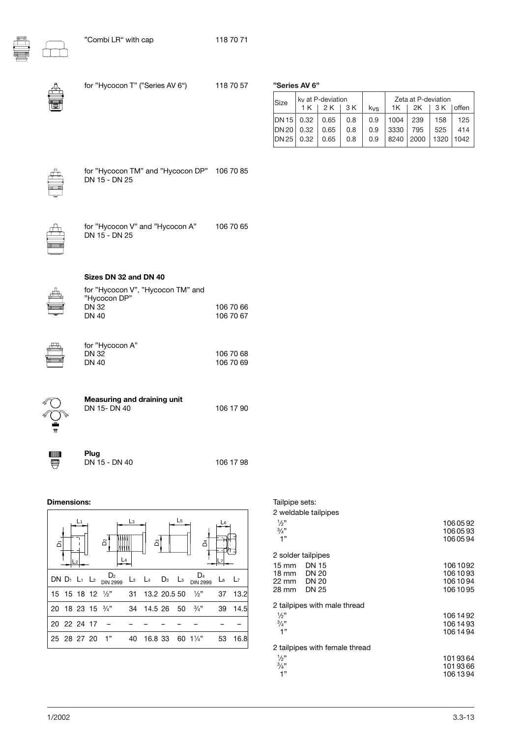

| for "Hycocon T" ("Series AV 6")                                                                            | 118 70 57              | <b>Size</b>                                 | "Series AV 6"<br>ky at P-<br>1K |  |
|------------------------------------------------------------------------------------------------------------|------------------------|---------------------------------------------|---------------------------------|--|
|                                                                                                            |                        | <b>DN15</b><br><b>DN 20</b><br><b>DN 25</b> | 0.32<br>0.32<br>0.32            |  |
| for "Hycocon TM" and "Hycocon DP"<br>DN 15 - DN 25                                                         | 106 70 85              |                                             |                                 |  |
| for "Hycocon V" and "Hycocon A"<br>DN 15 - DN 25                                                           | 106 70 65              |                                             |                                 |  |
| Sizes DN 32 and DN 40<br>for "Hycocon V", "Hycocon TM" and<br>"Hycocon DP"<br><b>DN 32</b><br><b>DN 40</b> | 106 70 66<br>106 70 67 |                                             |                                 |  |
| for "Hycocon A"<br><b>DN 32</b>                                                                            | 106 70 68              |                                             |                                 |  |

IIIIIIIIIIIIIIII  $\overline{\blacksquare}$ 

| DN 40                                              |
|----------------------------------------------------|
| <b>Measuring and draining unit</b><br>DN 15- DN 40 |

106 70 68 106 70 69

106 17 90

```
Plug
DN 15 - DN 40 106 17 98
```
#### **Dimensions:**

| ه           | L1 | δ                                                                                                                                                     | Lз | å | L <sub>5</sub> |                | L6          |         |
|-------------|----|-------------------------------------------------------------------------------------------------------------------------------------------------------|----|---|----------------|----------------|-------------|---------|
|             |    | DN D <sub>1</sub> L <sub>1</sub> L <sub>2</sub> D <sub>1N</sub> 2999 L <sub>3</sub> L <sub>4</sub> D <sub>3</sub> L <sub>5</sub> D <sub>1N</sub> 2999 |    |   |                |                | $L_6$ $L_7$ |         |
|             |    | 15 15 18 12 1/2" 31 13.2 20.5 50 1/2" 37 13.2                                                                                                         |    |   |                |                |             |         |
|             |    | 20 18 23 15 $\frac{3}{4}$ " 34 14.5 26 50 $\frac{3}{4}$ "                                                                                             |    |   |                |                |             | 39 14.5 |
| 20 22 24 17 |    |                                                                                                                                                       |    |   |                |                |             |         |
|             |    | 25 28 27 20 1"                                                                                                                                        | 40 |   |                | 16.8 33 60 1¼" | 53          | 16.8    |

|  | ries AV. |  |
|--|----------|--|
|  |          |  |

| Size                | ky at P-deviation |        |     |     | Zeta at P-deviation |                        |           |     |
|---------------------|-------------------|--------|-----|-----|---------------------|------------------------|-----------|-----|
|                     | 1 K               | 12K 3K |     | kvs |                     | $1K$   2K   3K   offen |           |     |
| DN 15 0.32 0.65     |                   |        | 0.8 | 0.9 | $1004$   239        |                        | 158       | 125 |
| DN 20   0.32   0.65 |                   |        | 0.8 | 0.9 | 3330                | 795                    | 525       | 414 |
| DN 25               | 0.32              | 0.65   | 0.8 | 0.9 | 8240 2000           |                        | 1320 1042 |     |



| for "Hycocon TM" and "Hycocon DP" 106 70 85 |  |
|---------------------------------------------|--|
| DN 15 - DN 25                               |  |
|                                             |  |

|                         | 2 solder tailpipes           |           |
|-------------------------|------------------------------|-----------|
| $15 \text{ mm}$ DN $15$ |                              | 1061092   |
| 18 mm DN 20             |                              | 1061093   |
| 22 mm                   | DN 20                        | 1061094   |
| 28 mm DN 25             |                              | 106 10 95 |
|                         |                              |           |
|                         | 2 tailpipes with male thread |           |

Tailpipe sets: 2 weldable tailpipes

1

3

| $\frac{1}{2}$                  | 106 14 92 |
|--------------------------------|-----------|
| $\frac{3}{4}$ "                | 106 14 93 |
| 1"                             | 106 14 94 |
| 2 tailpipes with female thread |           |
| $\frac{1}{2}$                  | 1019364   |
| $\frac{3}{4}$ "                | 1019366   |
| 1"                             | 106 13 94 |
|                                |           |

 $\frac{1}{2}$ " 106 05 92

 $\frac{\sqrt{4}}{4}$  106 05 93  $1"$  106 05 94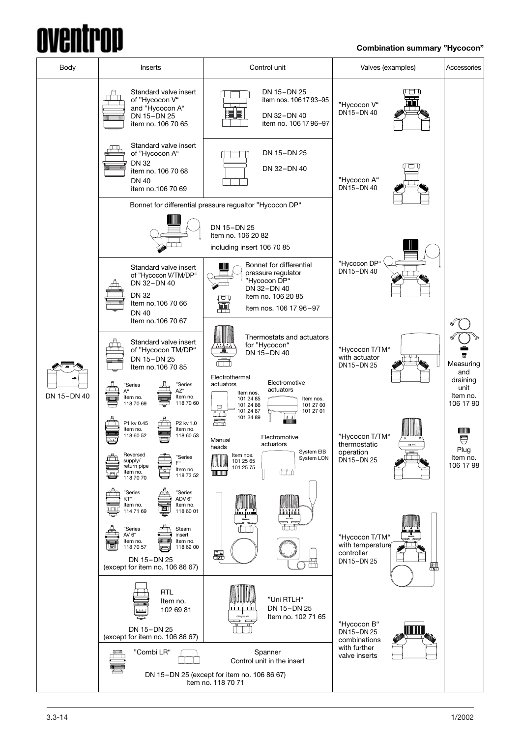## **AVANT** rnn

## **Combination summary "Hycocon"**

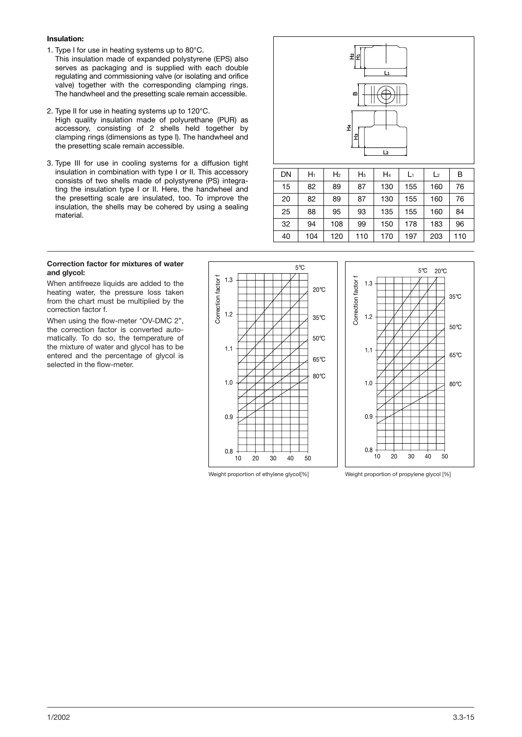### **Insulation:**

- 1. Type I for use in heating systems up to 80°C.
- This insulation made of expanded polystyrene (EPS) also serves as packaging and is supplied with each double regulating and commissioning valve (or isolating and orifice valve) together with the corresponding clamping rings. The handwheel and the presetting scale remain accessible.
- 2. Type II for use in heating systems up to 120°C. High quality insulation made of polyurethane (PUR) as accessory, consisting of 2 shells held together by clamping rings (dimensions as type I). The handwheel and the presetting scale remain accessible.
- 3. Type III for use in cooling systems for a diffusion tight insulation in combination with type I or II. This accessory consists of two shells made of polystyrene (PS) integrating the insulation type I or II. Here, the handwheel and the presetting scale are insulated, too. To improve the insulation, the shells may be cohered by using a sealing material.



| DN | H1  | H <sub>2</sub> | $H_3$ | $H_4$ | L1  | L <sub>2</sub> | В   |
|----|-----|----------------|-------|-------|-----|----------------|-----|
| 15 | 82  | 89             | 87    | 130   | 155 | 160            | 76  |
| 20 | 82  | 89             | 87    | 130   | 155 | 160            | 76  |
| 25 | 88  | 95             | 93    | 135   | 155 | 160            | 84  |
| 32 | 94  | 108            | 99    | 150   | 178 | 183            | 96  |
| 40 | 104 | 120            | 110   | 170   | 197 | 203            | 110 |

### **Correction factor for mixtures of water and glycol:**

When antifreeze liquids are added to the heating water, the pressure loss taken from the chart must be multiplied by the correction factor f.

When using the flow-meter "OV-DMC 2", the correction factor is converted automatically. To do so, the temperature of the mixture of water and glycol has to be entered and the percentage of glycol is selected in the flow-meter.







Weight proportion of ethylene glycol<sup>[%]</sup> Weight proportion of propylene glycol<sup>[%]</sup>